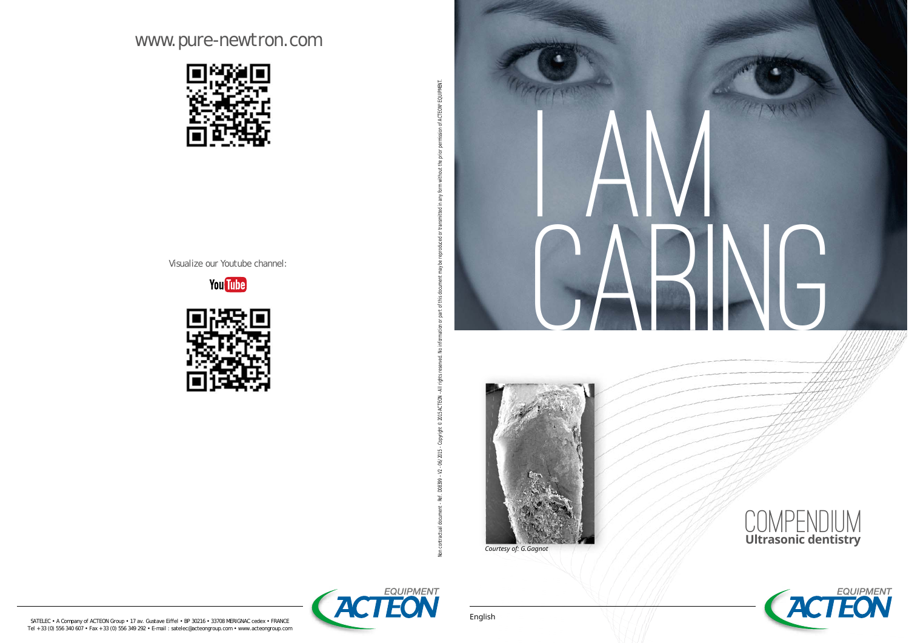# www.pure-newtron.com



Visualize our Youtube channel:













SATELEC • A Company of ACTEON Group • 17 av. Gustave Eiffel • BP 30216 • 33708 MERIGNAC cedex • FRANCE<br>Tel + 33 (0) 556 340 607 • Fax + 33 (0) 556 349 292 • E-mail : satelec@acteongroup.com • www.acteongroup.com

An contractual document - Ref. 08399 - V2 - 06/2015 - Copyright 8-0001915 - 2015 All rights reserved. No information or part in this document may be reproduced or transmitted in any form without the prior permission of ACT

Non contractual document - Ref. D08399 - V2 - 06/2015 - Copyright © 2015 ACTEON - All right

or part of this document may be reproduced or transmitted in any form without the prior permission of ACTEON® EQUIPMENT.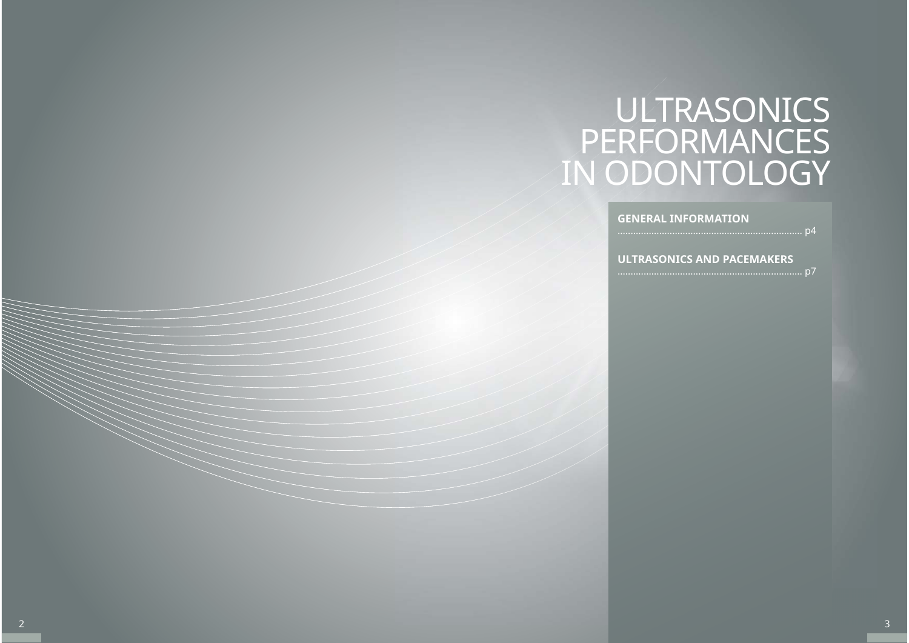# ULTRASONICS PERFORMANCES IN ODONTOLOGY

**GENERAL INFORMATION**

**ULTRASONICS AND PACEMAKERS**

....................................................................... p4

....................................................................... p7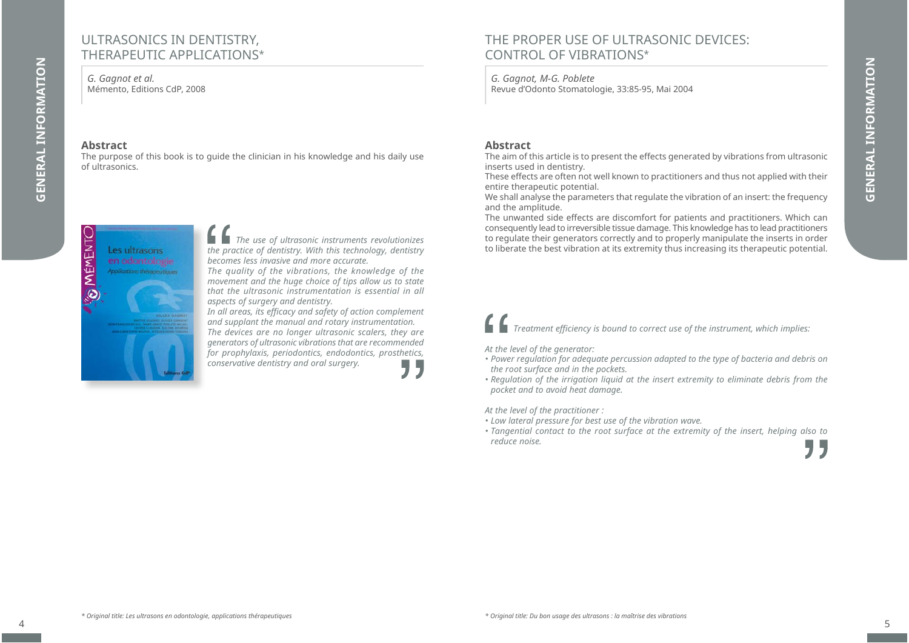## ULTRASONICS IN DENTISTRY, THERAPEUTIC APPLICATIONS\*

*G. Gagnot et al.* Mémento, Editions CdP, 2008

> Les ultrasons en odontologie Anodications their

#### **Abstract**

MÉMENTC

 $\ddot{\circ}$ 

**GENERAL INFORMATION**

**GENERAL INFORMATION** 

The purpose of this book is to guide the clinician in his knowledge and his daily use of ultrasonics.

> *The use of ultrasonic instruments revolutionizes the practice of dentistry. With this technology, dentistry becomes less invasive and more accurate.*

*The quality of the vibrations, the knowledge of the movement and the huge choice of tips allow us to state that the ultrasonic instrumentation is essential in all aspects of surgery and dentistry.*

*In all areas, its effi cacy and safety of action complement and supplant the manual and rotary instrumentation. The devices are no longer ultrasonic scalers, they are generators of ultrasonic vibrations that are recommended for prophylaxis, periodontics, endodontics, prosthetics, conservative dentistry and oral surgery.* "

# THE PROPER USE OF ULTRASONIC DEVICES: CONTROL OF VIBRATIONS\*

*G. Gagnot, M-G. Poblete* Revue d'Odonto Stomatologie, 33:85-95, Mai 2004

#### **Abstract**

The aim of this article is to present the effects generated by vibrations from ultrasonic inserts used in dentistry.

These effects are often not well known to practitioners and thus not applied with their entire therapeutic potential.

We shall analyse the parameters that regulate the vibration of an insert: the frequency and the amplitude.

The unwanted side effects are discomfort for patients and practitioners. Which can consequently lead to irreversible tissue damage. This knowledge has to lead practitioners to regulate their generators correctly and to properly manipulate the inserts in order to liberate the best vibration at its extremity thus increasing its therapeutic potential.

*Treatment effi ciency is bound to correct use of the instrument, which implies:*

*At the level of the generator:*

- *Power regulation for adequate percussion adapted to the type of bacteria and debris on the root surface and in the pockets.*
- *Regulation of the irrigation liquid at the insert extremity to eliminate debris from the pocket and to avoid heat damage.*

*At the level of the practitioner :*

- *Low lateral pressure for best use of the vibration wave.*
- *Tangential contact to the root surface at the extremity of the insert, helping also to reduce noise.*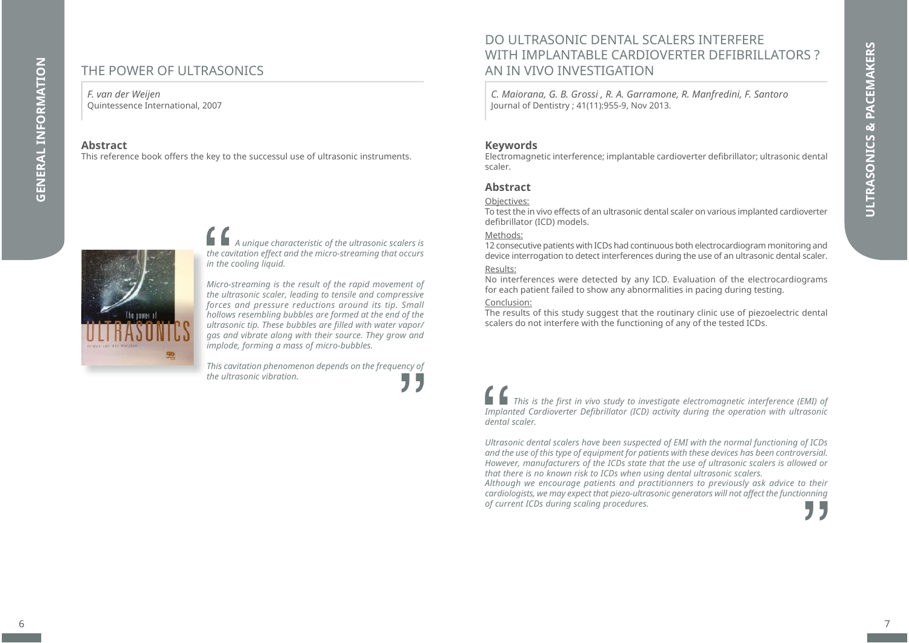# THE POWER OF ULTRASONICS

#### *F. van der Weijen* Quintessence International, 2007

#### **Abstract**

**GENERAL INFORMATION**

**GENERAL INFORMATION** 

This reference book offers the key to the successul use of ultrasonic instruments.

*A unique characteristic of the ultrasonic scalers is the cavitation effect and the micro-streaming that occurs in the cooling liquid.* 

*Micro-streaming is the result of the rapid movement of the ultrasonic scaler, leading to tensile and compressive forces and pressure reductions around its tip. Small hollows resembling bubbles are formed at the end of the*  ultrasonic tip. These bubbles are filled with water vapor/ *gas and vibrate along with their source. They grow and implode, forming a mass of micro-bubbles.* 

*This cavitation phenomenon depends on the frequency of the ultrasonic vibration.* " DO ULTRASONIC DENTAL SCALERS INTERFERE WITH IMPLANTABLE CARDIOVERTER DEFIBRILLATORS ? AN IN VIVO INVESTIGATION

*C. Maiorana, G. B. Grossi , R. A. Garramone, R. Manfredini, F. Santoro* Journal of Dentistry ; 41(11):955-9, Nov 2013.

#### **Keywords**

Electromagnetic interference; implantable cardioverter defi brillator; ultrasonic dental scaler.

#### **Abstract**

#### Objectives:

To test the in vivo effects of an ultrasonic dental scaler on various implanted cardioverter defibrillator (ICD) models.

#### Methods:

12 consecutive patients with ICDs had continuous both electrocardiogram monitoring and device interrogation to detect interferences during the use of an ultrasonic dental scaler.

#### Results:

No interferences were detected by any ICD. Evaluation of the electrocardiograms for each patient failed to show any abnormalities in pacing during testing.

#### Conclusion:

The results of this study suggest that the routinary clinic use of piezoelectric dental scalers do not interfere with the functioning of any of the tested ICDs.

*This is the first in vivo study to investigate electromagnetic interference (EMI) of Implanted Cardioverter Defibrillator (ICD) activity during the operation with ultrasonic dental scaler.*

*Ultrasonic dental scalers have been suspected of EMI with the normal functioning of ICDs and the use of this type of equipment for patients with these devices has been controversial. However, manufacturers of the ICDs state that the use of ultrasonic scalers is allowed or that there is no known risk to ICDs when using dental ultrasonic scalers.* 

*Although we encourage patients and practitionners to previously ask advice to their cardiologists, we may expect that piezo-ultrasonic generators will not affect the functionning of current ICDs during scaling procedures.*

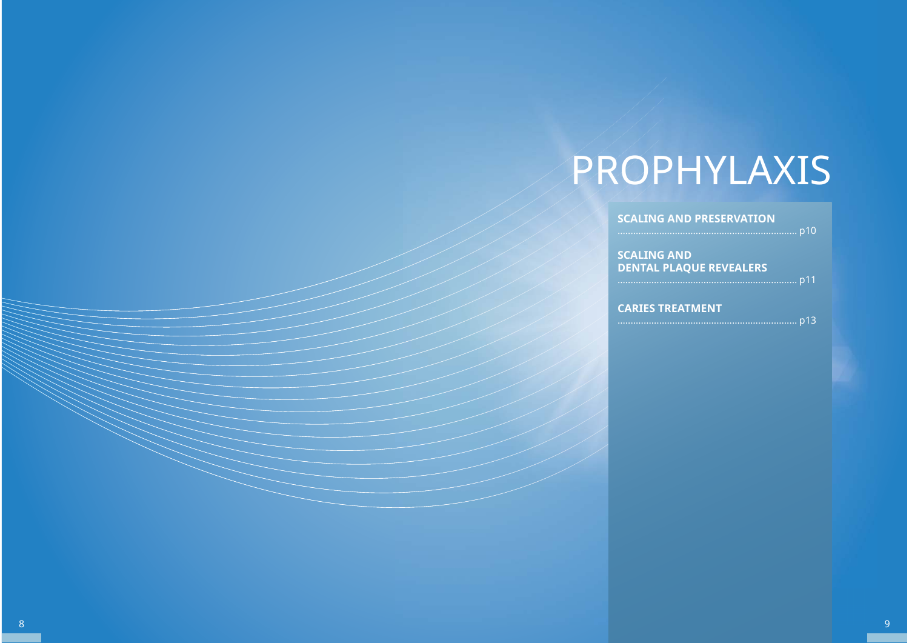# PROPHYLAXIS

| <b>SCALING AND PRESERVATION</b>                      |  |
|------------------------------------------------------|--|
| <b>SCALING AND</b><br><b>DENTAL PLAQUE REVEALERS</b> |  |
|                                                      |  |
| <b>CARIES TREATMENT</b>                              |  |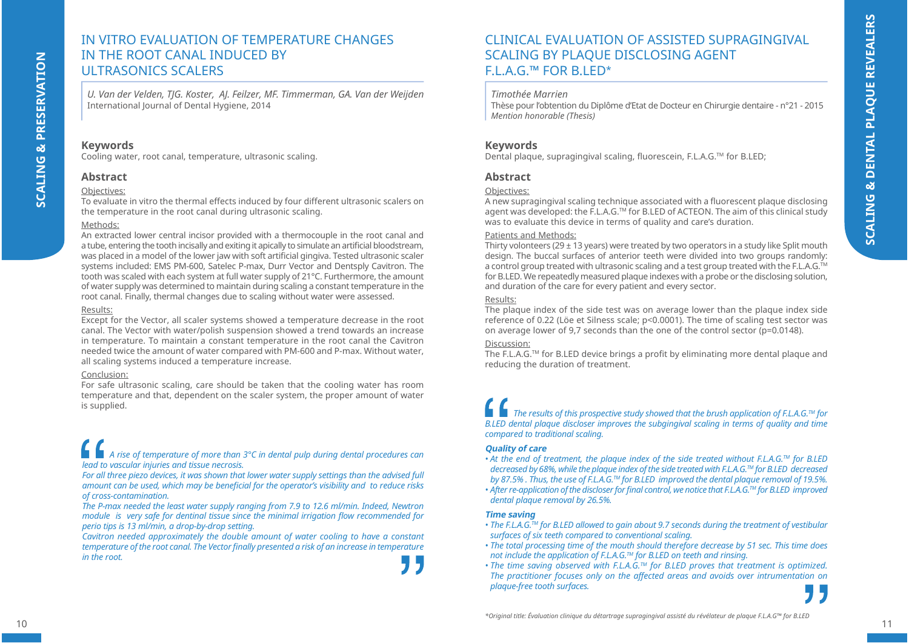# **SCALING & PRESERVATION SCALING & PRESERVATION**

# IN VITRO EVALUATION OF TEMPERATURE CHANGES IN THE ROOT CANAL INDUCED BY ULTRASONICS SCALERS

*U. Van der Velden, TJG. Koster, AJ. Feilzer, MF. Timmerman, GA. Van der Weijden* International Journal of Dental Hygiene, 2014

#### **Keywords**

Cooling water, root canal, temperature, ultrasonic scaling.

#### **Abstract**

#### Objectives:

To evaluate in vitro the thermal effects induced by four different ultrasonic scalers on the temperature in the root canal during ultrasonic scaling.

#### Methods:

An extracted lower central incisor provided with a thermocouple in the root canal and a tube, entering the tooth incisally and exiting it apically to simulate an artificial bloodstream, was placed in a model of the lower jaw with soft artificial gingiva. Tested ultrasonic scaler systems included: EMS PM-600, Satelec P-max, Durr Vector and Dentsply Cavitron. The tooth was scaled with each system at full water supply of 21°C. Furthermore, the amount of water supply was determined to maintain during scaling a constant temperature in the root canal. Finally, thermal changes due to scaling without water were assessed.

#### Results:

Except for the Vector, all scaler systems showed a temperature decrease in the root canal. The Vector with water/polish suspension showed a trend towards an increase in temperature. To maintain a constant temperature in the root canal the Cavitron needed twice the amount of water compared with PM-600 and P-max. Without water, all scaling systems induced a temperature increase.

#### Conclusion:

For safe ultrasonic scaling, care should be taken that the cooling water has room temperature and that, dependent on the scaler system, the proper amount of water is supplied.

# *A rise of temperature of more than 3°C in dental pulp during dental procedures can lead to vascular injuries and tissue necrosis.*

For all three piezo devices, it was shown that lower water supply settings than the advised full *amount can be used, which may be beneficial for the operator's visibility and to reduce risks of cross-contamination.*

*The P-max needed the least water supply ranging from 7.9 to 12.6 ml/min. Indeed, Newtron module is very safe for dentinal tissue since the minimal irrigation flow recommended for perio tips is 13 ml/min, a drop-by-drop setting.*

*Cavitron needed approximately the double amount of water cooling to have a constant temperature of the root canal. The Vector fi nally presented a risk of an increase in temperature in the root.*

CLINICAL EVALUATION OF ASSISTED SUPRAGINGIVAL SCALING BY PLAQUE DISCLOSING AGENT FIAG<sup>™</sup> FOR BIFD<sup>\*</sup>

#### *Timothée Marrien*

Thèse pour l'obtention du Diplôme d'Etat de Docteur en Chirurgie dentaire - n°21 - 2015 *Mention honorable (Thesis)*

#### **Keywords**

Dental plaque, supragingival scaling, fluorescein, F.L.A.G.™ for B.LED;

#### **Abstract**

#### Objectives:

A new supragingival scaling technique associated with a fluorescent plaque disclosing agent was developed: the F.L.A.G.TM for B.LED of ACTEON. The aim of this clinical study was to evaluate this device in terms of quality and care's duration.

#### Patients and Methods:

Thirty volonteers (29  $\pm$  13 years) were treated by two operators in a study like Split mouth design. The buccal surfaces of anterior teeth were divided into two groups randomly: a control group treated with ultrasonic scaling and a test group treated with the F.L.A.G.™ for B.LED. We repeatedly measured plaque indexes with a probe or the disclosing solution, and duration of the care for every patient and every sector.

#### Results:

The plaque index of the side test was on average lower than the plaque index side reference of 0.22 (Löe et Silness scale; p<0.0001). The time of scaling test sector was on average lower of 9,7 seconds than the one of the control sector (p=0.0148).

#### Discussion:

The F.L.A.G.<sup>TM</sup> for B.LED device brings a profit by eliminating more dental plaque and reducing the duration of treatment.

*The results of this prospective study showed that the brush application of F.L.A.G.TM for B.LED dental plaque discloser improves the subgingival scaling in terms of quality and time compared to traditional scaling.*

#### **Quality of care**

- *At the end of treatment, the plaque index of the side treated without F.L.A.G.™ for B.LED decreased by 68%, while the plaque index of the side treated with F.L.A.G.TM for B.LED decreased by 87.5% . Thus, the use of F.L.A.G.TM for B.LED improved the dental plaque removal of 19.5%.*
- *After re-application of the discloser for fi nal control, we notice that F.L.A.G.TM for B.LED improved dental plaque removal by 26.5%.*

#### **Time saving**

- *The F.L.A.G.TM for B.LED allowed to gain about 9.7 seconds during the treatment of vestibular surfaces of six teeth compared to conventional scaling.*
- *The total processing time of the mouth should therefore decrease by 51 sec. This time does not include the application of F.L.A.G.TM for B.LED on teeth and rinsing.*
- *The time saving observed with F.L.A.G.TM for B.LED proves that treatment is optimized. The practitioner focuses only on the affected areas and avoids over intrumentation on plaque-free tooth surfaces.*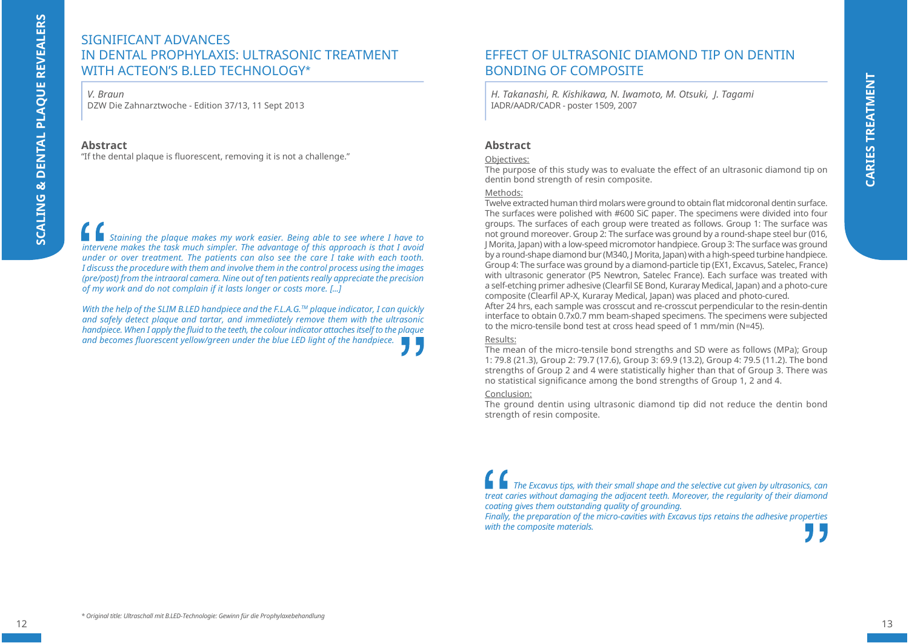# SIGNIFICANT ADVANCESIN DENTAL PROPHYLAXIS: ULTRASONIC TREATMENT WITH ACTEON'S B.LED TECHNOLOGY\*

*V. Braun*

DZW Die Zahnarztwoche - Edition 37/13, 11 Sept 2013

#### **Abstract**

"If the dental plaque is fluorescent, removing it is not a challenge."

*Staining the plaque makes my work easier. Being able to see where I have to intervene makes the task much simpler. The advantage of this approach is that I avoid under or over treatment. The patients can also see the care I take with each tooth. I discuss the procedure with them and involve them in the control process using the images (pre/post) from the intraoral camera. Nine out of ten patients really appreciate the precision of my work and do not complain if it lasts longer or costs more. [...]* 

*With the help of the SLIM B.LED handpiece and the F.L.A.G.™ plaque indicator, I can quickly and safely detect plaque and tartar, and immediately remove them with the ultrasonic handpiece. When I apply the fluid to the teeth, the colour indicator attaches itself to the plaque* and becomes fluorescent yellow/green under the blue LED light of the handpiece.

# FFFECT OF ULTRASONIC DIAMOND TIP ON DENTIN BONDING OF COMPOSITE

*H. Takanashi, R. Kishikawa, N. Iwamoto, M. Otsuki, J. Tagami* IADR/AADR/CADR - poster 1509, 2007

#### **Abstract**

#### Objectives:

The purpose of this study was to evaluate the effect of an ultrasonic diamond tip on dentin bond strength of resin composite.

#### Methods:

Twelve extracted human third molars were ground to obtain flat midcoronal dentin surface. The surfaces were polished with #600 SiC paper. The specimens were divided into four groups. The surfaces of each group were treated as follows. Group 1: The surface was not ground moreover. Group 2: The surface was ground by a round-shape steel bur (016, J Morita, Japan) with a low-speed micromotor handpiece. Group 3: The surface was ground by a round-shape diamond bur (M340, J Morita, Japan) with a high-speed turbine handpiece. Group 4: The surface was ground by a diamond-particle tip (EX1, Excavus, Satelec, France) with ultrasonic generator (P5 Newtron, Satelec France). Each surface was treated with a self-etching primer adhesive (Clearfil SE Bond, Kuraray Medical, Japan) and a photo-cure composite (Clearfil AP-X, Kuraray Medical, Japan) was placed and photo-cured.

After 24 hrs, each sample was crosscut and re-crosscut perpendicular to the resin-dentin interface to obtain 0.7x0.7 mm beam-shaped specimens. The specimens were subjected to the micro-tensile bond test at cross head speed of 1 mm/min (N=45).

#### Results:

The mean of the micro-tensile bond strengths and SD were as follows (MPa); Group 1: 79.8 (21.3), Group 2: 79.7 (17.6), Group 3: 69.9 (13.2), Group 4: 79.5 (11.2). The bond strengths of Group 2 and 4 were statistically higher than that of Group 3. There was no statistical significance among the bond strengths of Group 1, 2 and 4.

#### Conclusion:

The ground dentin using ultrasonic diamond tip did not reduce the dentin bond strength of resin composite.

*The Excavus tips, with their small shape and the selective cut given by ultrasonics, can treat caries without damaging the adjacent teeth. Moreover, the regularity of their diamond coating gives them outstanding quality of grounding.*

*Finally, the preparation of the micro-cavities with Excavus tips retains the adhesive properties with the composite materials.*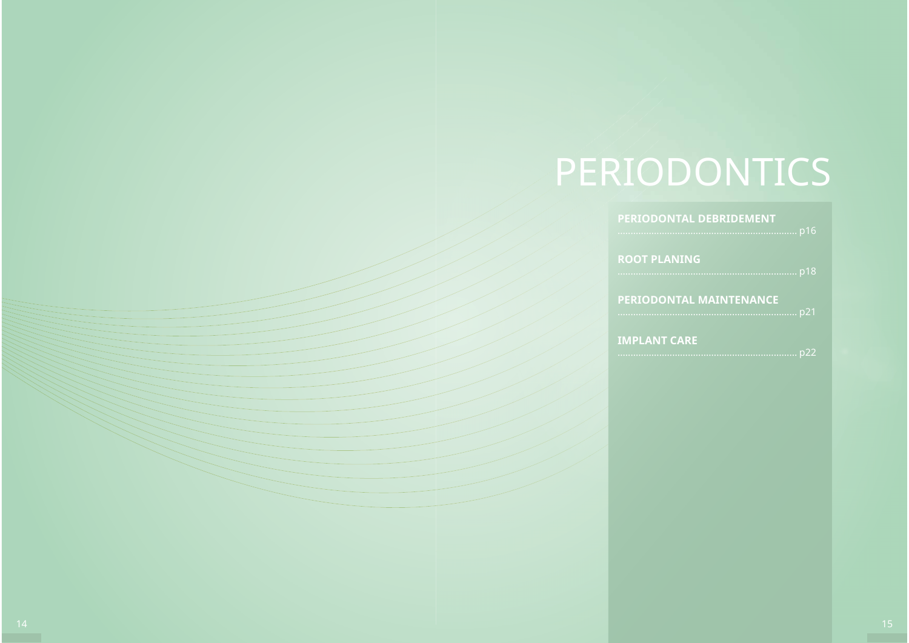# PERIODONTICS

| <b>PERIODONTAL DEBRIDEMENT</b> |
|--------------------------------|
| <b>ROOT PLANING</b>            |
| <b>PERIODONTAL MAINTENANCE</b> |
| <b>IMPLANT CARE</b>            |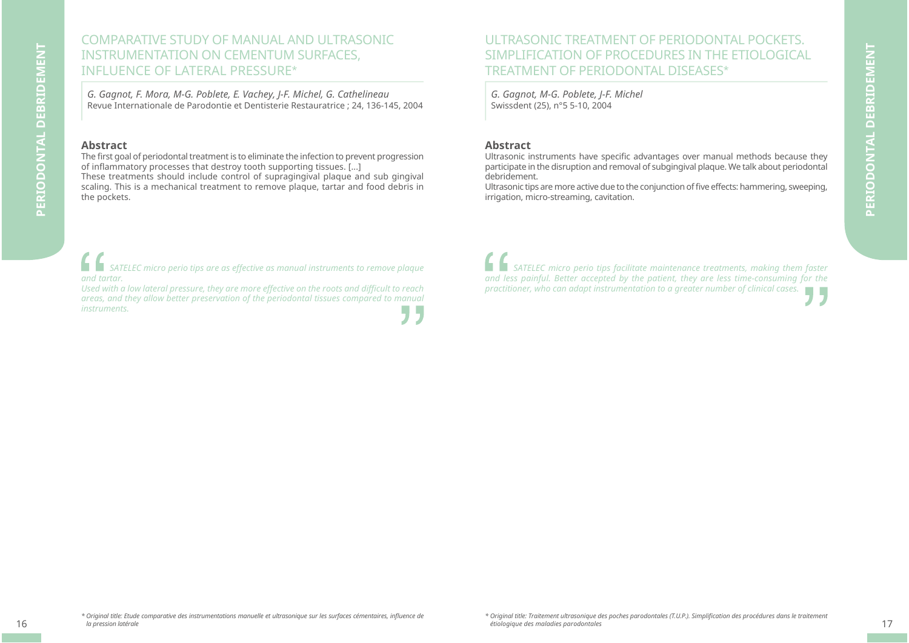# COMPARATIVE STUDY OF MANUAL AND ULTRASONIC INSTRUMENTATION ON CEMENTUM SURFACES, INFLUENCE OF LATERAL PRESSURE\*

*G. Gagnot, F. Mora, M-G. Poblete, E. Vachey, J-F. Michel, G. Cathelineau* Revue Internationale de Parodontie et Dentisterie Restauratrice ; 24, 136-145, 2004

#### **Abstract**

The first goal of periodontal treatment is to eliminate the infection to prevent progression of inflammatory processes that destroy tooth supporting tissues. [...] These treatments should include control of supragingival plaque and sub gingival scaling. This is a mechanical treatment to remove plaque, tartar and food debris in the pockets.

*SATELEC micro perio tips are as effective as manual instruments to remove plaque and tartar.* 

*Used with a low lateral pressure, they are more effective on the roots and diffi cult to reach areas, and they allow better preservation of the periodontal tissues compared to manual instruments.* - 15

ULTRASONIC TREATMENT OF PERIODONTAL POCKETS. SIMPLIFICATION OF PROCEDURES IN THE ETIOLOGICAL TREATMENT OF PERIODONTAL DISEASES\*

*G. Gagnot, M-G. Poblete, J-F. Michel* Swissdent (25), n°5 5-10, 2004

#### **Abstract**

Ultrasonic instruments have specific advantages over manual methods because they participate in the disruption and removal of subgingival plaque. We talk about periodontal debridement.

Ultrasonic tips are more active due to the conjunction of five effects: hammering, sweeping, irrigation, micro-streaming, cavitation.

h H *SATELEC micro perio tips facilitate maintenance treatments, making them faster and less painful. Better accepted by the patient, they are less time-consuming for the practitioner, who can adapt instrumentation to a greater number of clinical cases.*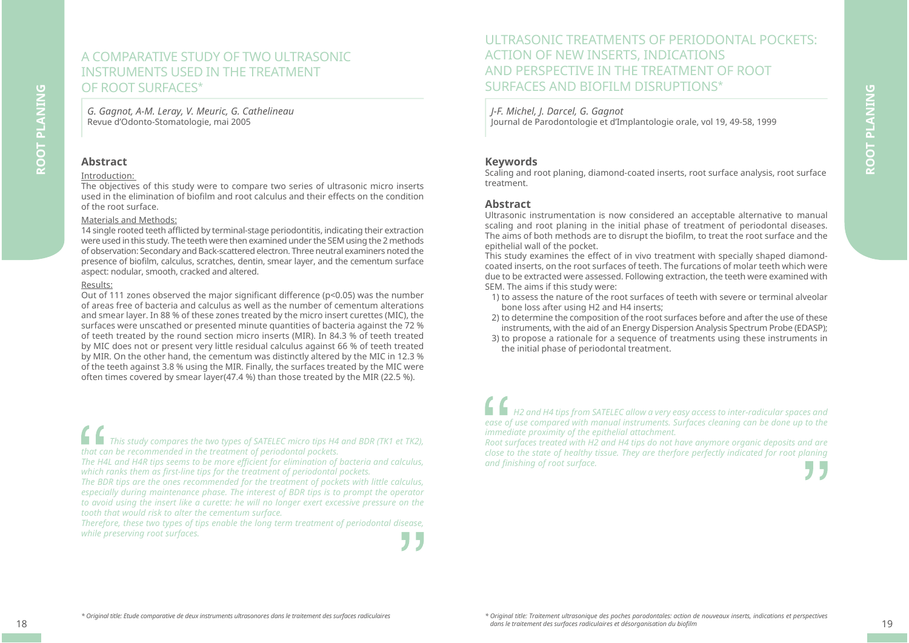## A COMPARATIVE STUDY OF TWO ULTRASONIC INSTRUMENTS USED IN THE TREATMENTOF ROOT SURFACES\*

*G. Gagnot, A-M. Leray, V. Meuric, G. Cathelineau* Revue d'Odonto-Stomatologie, mai 2005

#### **Abstract**

**ROOT PLANING**

ROOT PLANING

#### Introduction:

The objectives of this study were to compare two series of ultrasonic micro inserts used in the elimination of biofilm and root calculus and their effects on the condition of the root surface.

#### Materials and Methods:

14 single rooted teeth afflicted by terminal-stage periodontitis, indicating their extraction were used in this study. The teeth were then examined under the SEM using the 2 methods of observation: Secondary and Back-scattered electron. Three neutral examiners noted the presence of biofilm, calculus, scratches, dentin, smear layer, and the cementum surface aspect: nodular, smooth, cracked and altered.

#### Results:

Out of 111 zones observed the major significant difference ( $p$ <0.05) was the number of areas free of bacteria and calculus as well as the number of cementum alterations and smear layer. In 88 % of these zones treated by the micro insert curettes (MIC), the surfaces were unscathed or presented minute quantities of bacteria against the 72 % of teeth treated by the round section micro inserts (MIR). In 84.3 % of teeth treated by MIC does not or present very little residual calculus against 66 % of teeth treated by MIR. On the other hand, the cementum was distinctly altered by the MIC in 12.3 % of the teeth against 3.8 % using the MIR. Finally, the surfaces treated by the MIC were often times covered by smear layer(47.4 %) than those treated by the MIR (22.5 %).

*This study compares the two types of SATELEC micro tips H4 and BDR (TK1 et TK2), that can be recommended in the treatment of periodontal pockets.* 

*The H4L and H4R tips seems to be more effi cient for elimination of bacteria and calculus,*  which ranks them as first-line tips for the treatment of periodontal pockets.

*The BDR tips are the ones recommended for the treatment of pockets with little calculus, especially during maintenance phase. The interest of BDR tips is to prompt the operator to avoid using the insert like a curette: he will no longer exert excessive pressure on the tooth that would risk to alter the cementum surface.*

*Therefore, these two types of tips enable the long term treatment of periodontal disease, while preserving root surfaces.*

# ULTRASONIC TREATMENTS OF PERIODONTAL POCKETS: ACTION OF NEW INSERTS, INDICATIONS AND PERSPECTIVE IN THE TREATMENT OF ROOT SURFACES AND BIOFILM DISRUPTIONS\*

*J-F. Michel, J. Darcel, G. Gagnot*

Journal de Parodontologie et d'Implantologie orale, vol 19, 49-58, 1999

#### **Keywords**

Scaling and root planing, diamond-coated inserts, root surface analysis, root surface treatment.

#### **Abstract**

Ultrasonic instrumentation is now considered an acceptable alternative to manual scaling and root planing in the initial phase of treatment of periodontal diseases. The aims of both methods are to disrupt the biofilm, to treat the root surface and the epithelial wall of the pocket.

This study examines the effect of in vivo treatment with specially shaped diamondcoated inserts, on the root surfaces of teeth. The furcations of molar teeth which were due to be extracted were assessed. Following extraction, the teeth were examined with SEM. The aims if this study were:

- 1) to assess the nature of the root surfaces of teeth with severe or terminal alveolar bone loss after using H2 and H4 inserts;
- 2) to determine the composition of the root surfaces before and after the use of these instruments, with the aid of an Energy Dispersion Analysis Spectrum Probe (EDASP);
- 3) to propose a rationale for a sequence of treatments using these instruments in the initial phase of periodontal treatment.

*H2 and H4 tips from SATELEC allow a very easy access to inter-radicular spaces and ease of use compared with manual instruments. Surfaces cleaning can be done up to the immediate proximity of the epithelial attachment.*

*Root surfaces treated with H2 and H4 tips do not have anymore organic deposits and are close to the state of healthy tissue. They are therfore perfectly indicated for root planing*  and finishing of root surface.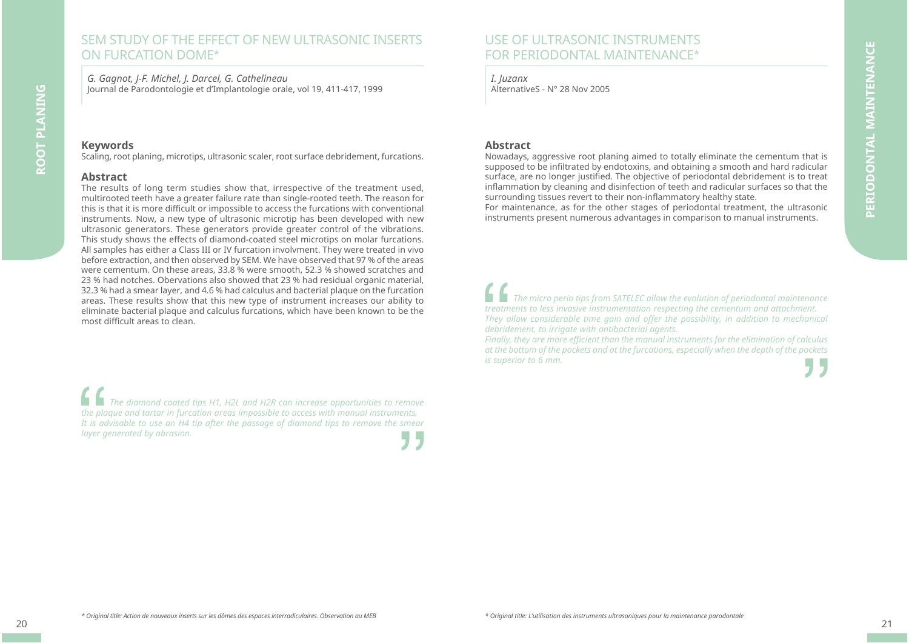## SEM STUDY OF THE FEFECT OF NEW ULTRASONIC INSERTS ON FURCATION DOME\*

*G. Gagnot, J-F. Michel, J. Darcel, G. Cathelineau* Journal de Parodontologie et d'Implantologie orale, vol 19, 411-417, 1999

#### **Keywords**

Scaling, root planing, microtips, ultrasonic scaler, root surface debridement, furcations.

#### **Abstract**

The results of long term studies show that, irrespective of the treatment used, multirooted teeth have a greater failure rate than single-rooted teeth. The reason for this is that it is more difficult or impossible to access the furcations with conventional instruments. Now, a new type of ultrasonic microtip has been developed with new ultrasonic generators. These generators provide greater control of the vibrations. This study shows the effects of diamond-coated steel microtips on molar furcations. All samples has either a Class III or IV furcation involvment. They were treated in vivo before extraction, and then observed by SEM. We have observed that 97 % of the areas were cementum. On these areas, 33.8 % were smooth, 52.3 % showed scratches and 23 % had notches. Obervations also showed that 23 % had residual organic material, 32.3 % had a smear layer, and 4.6 % had calculus and bacterial plaque on the furcation areas. These results show that this new type of instrument increases our ability to eliminate bacterial plaque and calculus furcations, which have been known to be the most difficult areas to clean

*The diamond coated tips H1, H2L and H2R can increase opportunities to remove the plaque and tartar in furcation areas impossible to access with manual instruments. It is advisable to use an H4 tip after the passage of diamond tips to remove the smear layer generated by abrasion.*

# USE OF ULTRASONIC INSTRUMENTSFOR PERIODONTAL MAINTENANCE\*

*I. Juzanx* AlternativeS - N° 28 Nov 2005

#### **Abstract**

Nowadays, aggressive root planing aimed to totally eliminate the cementum that is supposed to be infiltrated by endotoxins, and obtaining a smooth and hard radicular surface, are no longer justified. The objective of periodontal debridement is to treat inflammation by cleaning and disinfection of teeth and radicular surfaces so that the surrounding tissues revert to their non-inflammatory healthy state.

For maintenance, as for the other stages of periodontal treatment, the ultrasonic instruments present numerous advantages in comparison to manual instruments.

*The micro perio tips from SATELEC allow the evolution of periodontal maintenance treatments to less invasive instrumentation respecting the cementum and attachment. They allow considerable time gain and offer the possibility, in addition to mechanical debridement, to irrigate with antibacterial agents.* 

*Finally, they are more effi cient than the manual instruments for the elimination of calculus at the bottom of the pockets and at the furcations, especially when the depth of the pockets is superior to 6 mm.*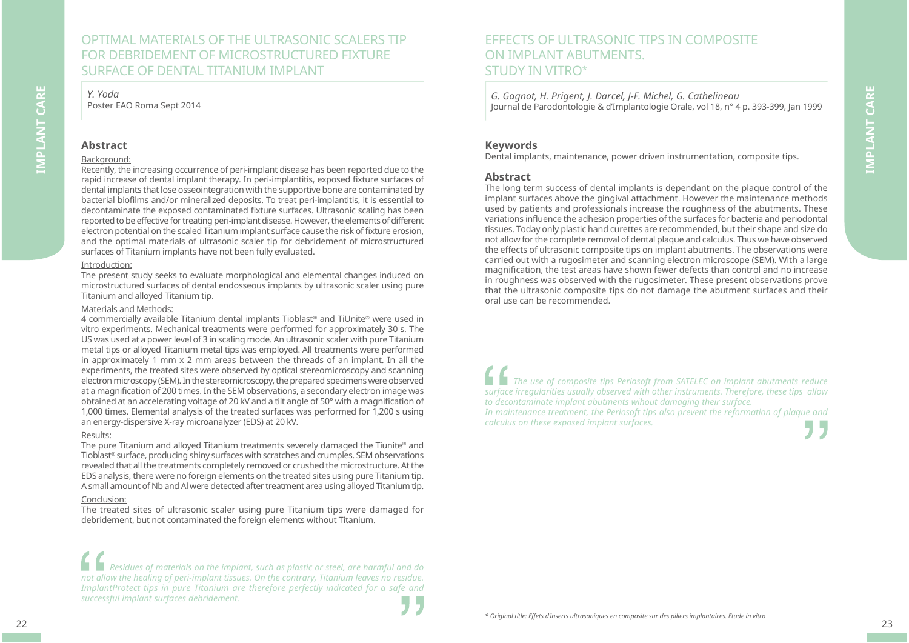# OPTIMAL MATERIALS OF THE ULTRASONIC SCALERS TIP FOR DEBRIDEMENT OF MICROSTRUCTURED FIXTURE SURFACE OF DENTAL TITANIUM IMPLANT

*Y. Yoda* Poster EAO Roma Sept 2014

#### **Abstract**

**IMPLANT CARE**

IMPLANT CARE

#### Background:

Recently, the increasing occurrence of peri-implant disease has been reported due to the rapid increase of dental implant therapy. In peri-implantitis, exposed fixture surfaces of dental implants that lose osseointegration with the supportive bone are contaminated by bacterial biofilms and/or mineralized deposits. To treat peri-implantitis, it is essential to decontaminate the exposed contaminated fixture surfaces. Ultrasonic scaling has been reported to be effective for treating peri-implant disease. However, the elements of different electron potential on the scaled Titanium implant surface cause the risk of fixture erosion, and the optimal materials of ultrasonic scaler tip for debridement of microstructured surfaces of Titanium implants have not been fully evaluated.

#### Introduction:

The present study seeks to evaluate morphological and elemental changes induced on microstructured surfaces of dental endosseous implants by ultrasonic scaler using pure Titanium and alloyed Titanium tip.

#### Materials and Methods:

4 commercially available Titanium dental implants Tioblast® and TiUnite® were used in vitro experiments. Mechanical treatments were performed for approximately 30 s. The US was used at a power level of 3 in scaling mode. An ultrasonic scaler with pure Titanium metal tips or alloyed Titanium metal tips was employed. All treatments were performed in approximately 1 mm  $\times$  2 mm areas between the threads of an implant. In all the experiments, the treated sites were observed by optical stereomicroscopy and scanning electron microscopy (SEM). In the stereomicroscopy, the prepared specimens were observed at a magnification of 200 times. In the SEM observations, a secondary electron image was obtained at an accelerating voltage of 20 kV and a tilt angle of 50° with a magnification of 1,000 times. Elemental analysis of the treated surfaces was performed for 1,200 s using an energy-dispersive X-ray microanalyzer (EDS) at 20 kV.

#### Results:

The pure Titanium and alloyed Titanium treatments severely damaged the Tiunite® and Tioblast® surface, producing shiny surfaces with scratches and crumples. SEM observations revealed that all the treatments completely removed or crushed the microstructure. At the EDS analysis, there were no foreign elements on the treated sites using pure Titanium tip. A small amount of Nb and Al were detected after treatment area using alloyed Titanium tip.

#### Conclusion:

The treated sites of ultrasonic scaler using pure Titanium tips were damaged for debridement, but not contaminated the foreign elements without Titanium.

*Residues of materials on the implant, such as plastic or steel, are harmful and do not allow the healing of peri-implant tissues. On the contrary, Titanium leaves no residue. ImplantProtect tips in pure Titanium are therefore perfectly indicated for a safe and successful implant surfaces debridement.*

#### *G. Gagnot, H. Prigent, J. Darcel, J-F. Michel, G. Cathelineau* Journal de Parodontologie & d'Implantologie Orale, vol 18, n° 4 p. 393-399, Jan 1999

#### **Keywords**

Dental implants, maintenance, power driven instrumentation, composite tips.

#### **Abstract**

The long term success of dental implants is dependant on the plaque control of the implant surfaces above the gingival attachment. However the maintenance methods used by patients and professionals increase the roughness of the abutments. These variations influence the adhesion properties of the surfaces for bacteria and periodontal tissues. Today only plastic hand curettes are recommended, but their shape and size do not allow for the complete removal of dental plaque and calculus. Thus we have observed the effects of ultrasonic composite tips on implant abutments. The observations were carried out with a rugosimeter and scanning electron microscope (SEM). With a large magnification, the test areas have shown fewer defects than control and no increase in roughness was observed with the rugosimeter. These present observations prove that the ultrasonic composite tips do not damage the abutment surfaces and their oral use can be recommended.

*The use of composite tips Periosoft from SATELEC on implant abutments reduce surface irregularities usually observed with other instruments. Therefore, these tips allow to decontaminate implant abutments wihout damaging their surface. In maintenance treatment, the Periosoft tips also prevent the reformation of plaque and calculus on these exposed implant surfaces.*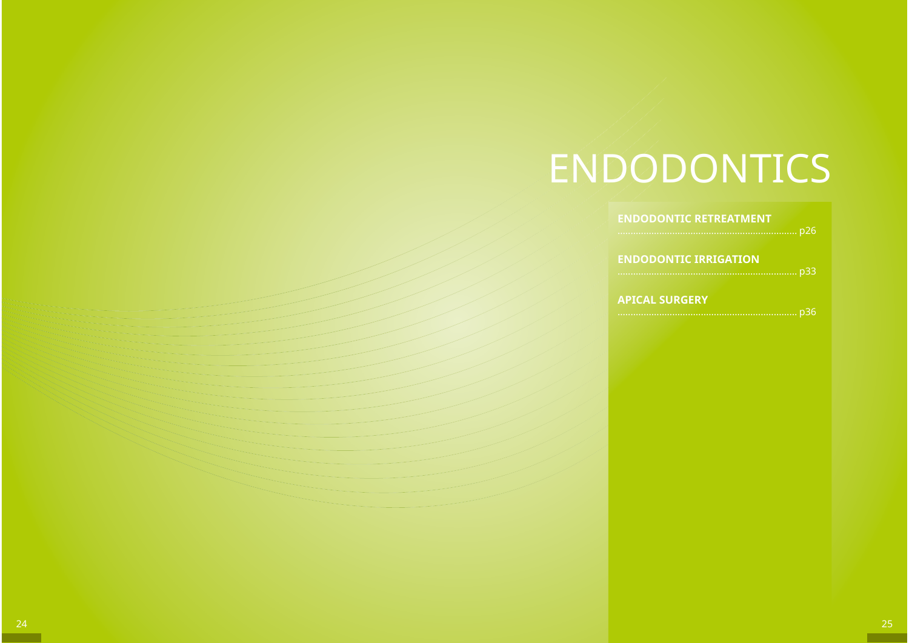# ENDODONTICS

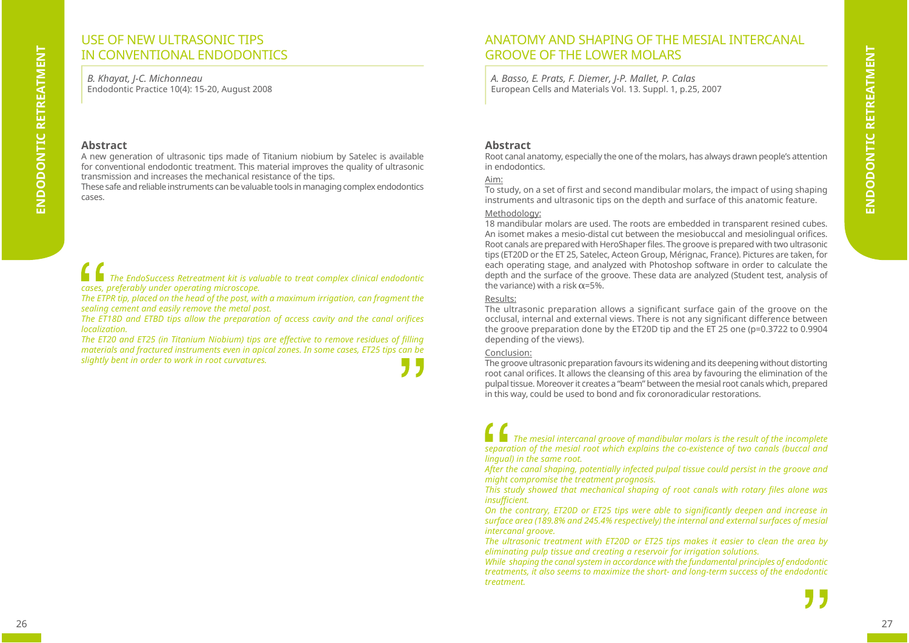# ENDODONTIC RETREATMENT **ENDODONTIC RETREATMENT**

# USE OF NEW ULTRASONIC TIPS IN CONVENTIONAL ENDODONTICS

*B. Khayat, J-C. Michonneau* Endodontic Practice 10(4): 15-20, August 2008

#### **Abstract**

A new generation of ultrasonic tips made of Titanium niobium by Satelec is available for conventional endodontic treatment. This material improves the quality of ultrasonic transmission and increases the mechanical resistance of the tips.

These safe and reliable instruments can be valuable tools in managing complex endodontics cases.

*The EndoSuccess Retreatment kit is valuable to treat complex clinical endodontic cases, preferably under operating microscope.*

*The ETPR tip, placed on the head of the post, with a maximum irrigation, can fragment the sealing cement and easily remove the metal post.* 

*The ET18D and ETBD tips allow the preparation of access cavity and the canal orifices localization.* 

The ET20 and ET25 (in Titanium Niobium) tips are effective to remove residues of filling *materials and fractured instruments even in apical zones. In some cases, ET25 tips can be slightly bent in order to work in root curvatures.*

# ANATOMY AND SHAPING OF THE MESIAL INTERCANAL GROOVE OF THE LOWER MOLARS

*A. Basso, E. Prats, F. Diemer, J-P. Mallet, P. Calas* European Cells and Materials Vol. 13. Suppl. 1, p.25, 2007

#### **Abstract**

Root canal anatomy, especially the one of the molars, has always drawn people's attention in endodontics.

#### Aim:

To study, on a set of first and second mandibular molars, the impact of using shaping instruments and ultrasonic tips on the depth and surface of this anatomic feature.

#### Methodology:

18 mandibular molars are used. The roots are embedded in transparent resined cubes. An isomet makes a mesio-distal cut between the mesiobuccal and mesiolingual orifices. Root canals are prepared with HeroShaper files. The groove is prepared with two ultrasonic tips (ET20D or the ET 25, Satelec, Acteon Group, Mérignac, France). Pictures are taken, for each operating stage, and analyzed with Photoshop software in order to calculate the depth and the surface of the groove. These data are analyzed (Student test, analysis of the variance) with a risk  $\alpha$ =5%.

#### Results:

The ultrasonic preparation allows a significant surface gain of the groove on the occlusal, internal and external views. There is not any significant difference between the groove preparation done by the ET20D tip and the ET 25 one (p=0.3722 to 0.9904 depending of the views).

#### Conclusion:

The groove ultrasonic preparation favours its widening and its deepening without distorting root canal orifices. It allows the cleansing of this area by favouring the elimination of the pulpal tissue. Moreover it creates a "beam" between the mesial root canals which, prepared in this way, could be used to bond and fix coronoradicular restorations.

*The mesial intercanal groove of mandibular molars is the result of the incomplete separation of the mesial root which explains the co-existence of two canals (buccal and lingual) in the same root.*

*After the canal shaping, potentially infected pulpal tissue could persist in the groove and might compromise the treatment prognosis.*

*This study showed that mechanical shaping of root canals with rotary fi les alone was insuffi cient.*

*On the contrary, ET20D or ET25 tips were able to significantly deepen and increase in surface area (189.8% and 245.4% respectively) the internal and external surfaces of mesial intercanal groove.*

*The ultrasonic treatment with ET20D or ET25 tips makes it easier to clean the area by eliminating pulp tissue and creating a reservoir for irrigation solutions.* 

*While shaping the canal system in accordance with the fundamental principles of endodontic treatments, it also seems to maximize the short- and long-term success of the endodontic treatment.*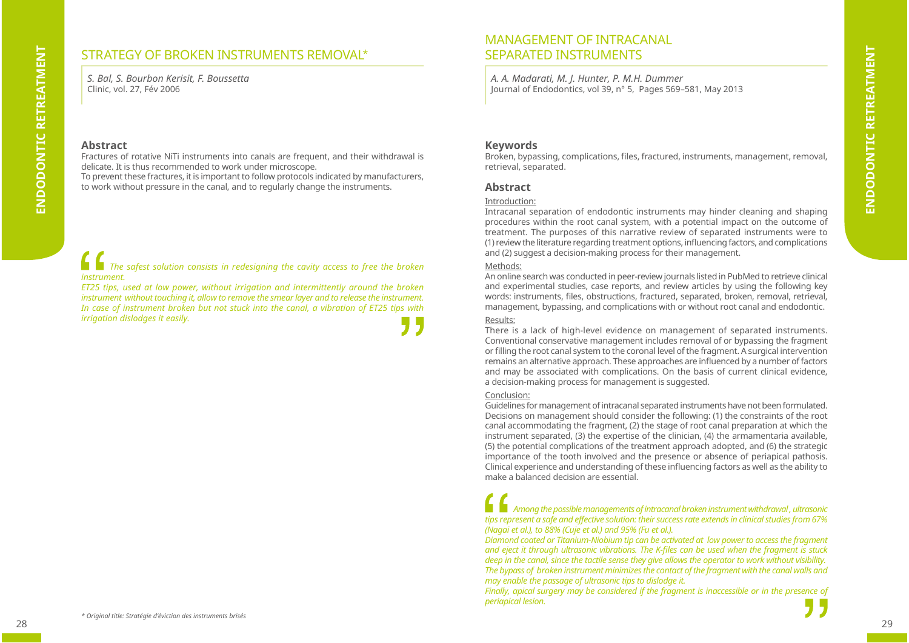# STRATEGY OF BROKEN INSTRUMENTS REMOVAL\*

*S. Bal, S. Bourbon Kerisit, F. Boussetta* Clinic, vol. 27, Fév 2006

#### **Abstract**

Fractures of rotative NiTi instruments into canals are frequent, and their withdrawal is delicate. It is thus recommended to work under microscope.

To prevent these fractures, it is important to follow protocols indicated by manufacturers, to work without pressure in the canal, and to regularly change the instruments.

*The safest solution consists in redesigning the cavity access to free the broken instrument.*

*ET25 tips, used at low power, without irrigation and intermittently around the broken instrument without touching it, allow to remove the smear layer and to release the instrument. In case of instrument broken but not stuck into the canal, a vibration of ET25 tips with irrigation dislodges it easily.*

# MANAGEMENT OF INTRACANAL SEPARATED INSTRUMENTS

*A. A. Madarati, M. J. Hunter, P. M.H. Dummer* Journal of Endodontics, vol 39, n° 5, Pages 569–581, May 2013

#### **Keywords**

Broken, bypassing, complications, files, fractured, instruments, management, removal, retrieval, separated.

#### **Abstract**

#### Introduction:

Intracanal separation of endodontic instruments may hinder cleaning and shaping procedures within the root canal system, with a potential impact on the outcome of treatment. The purposes of this narrative review of separated instruments were to (1) review the literature regarding treatment options, influencing factors, and complications and (2) suggest a decision-making process for their management.

#### Methods:

An online search was conducted in peer-review journals listed in PubMed to retrieve clinical and experimental studies, case reports, and review articles by using the following key words: instruments, files, obstructions, fractured, separated, broken, removal, retrieval, management, bypassing, and complications with or without root canal and endodontic.

#### Results:

There is a lack of high-level evidence on management of separated instruments. Conventional conservative management includes removal of or bypassing the fragment or filling the root canal system to the coronal level of the fragment. A surgical intervention remains an alternative approach. These approaches are influenced by a number of factors and may be associated with complications. On the basis of current clinical evidence, a decision-making process for management is suggested.

#### Conclusion:

Guidelines for management of intracanal separated instruments have not been formulated. Decisions on management should consider the following: (1) the constraints of the root canal accommodating the fragment, (2) the stage of root canal preparation at which the instrument separated, (3) the expertise of the clinician, (4) the armamentaria available, (5) the potential complications of the treatment approach adopted, and (6) the strategic importance of the tooth involved and the presence or absence of periapical pathosis. Clinical experience and understanding of these influencing factors as well as the ability to make a balanced decision are essential.

### *Among the possible managements of intracanal broken instrument withdrawal , ultrasonic tips represent a safe and effective solution: their success rate extends in clinical studies from 67% (Nagai et al.), to 88% (Cuje et al.) and 95% (Fu et al.).*

*Diamond coated or Titanium-Niobium tip can be activated at low power to access the fragment and eject it through ultrasonic vibrations. The K-fi les can be used when the fragment is stuck deep in the canal, since the tactile sense they give allows the operator to work without visibility. The bypass of broken instrument minimizes the contact of the fragment with the canal walls and may enable the passage of ultrasonic tips to dislodge it.* 

*Finally, apical surgery may be considered if the fragment is inaccessible or in the presence of periapical lesion.*

*\* Original title: Stratégie d'éviction des instruments brisés*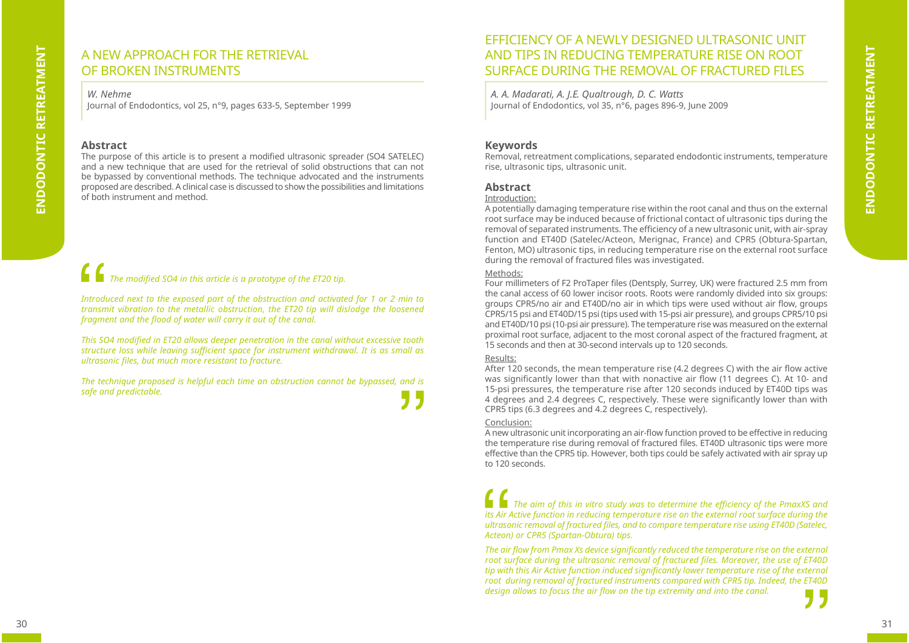# A NEW APPROACH FOR THE RETRIEVALOF BROKEN INSTRUMENTS

*W. Nehme*

Journal of Endodontics, vol 25, n°9, pages 633-5, September 1999

#### **Abstract**

The purpose of this article is to present a modified ultrasonic spreader (SO4 SATELEC) and a new technique that are used for the retrieval of solid obstructions that can not be bypassed by conventional methods. The technique advocated and the instruments proposed are described. A clinical case is discussed to show the possibilities and limitations of both instrument and method.

# *The modified SO4 in this article is a prototype of the ET20 tip.*

*Introduced next to the exposed part of the obstruction and activated for 1 or 2 min to transmit vibration to the metallic obstruction, the ET20 tip will dislodge the loosened*  fragment and the flood of water will carry it out of the canal.

*This SO4 modified in ET20 allows deeper penetration in the canal without excessive tooth structure loss while leaving suffi cient space for instrument withdrawal. It is as small as ultrasonic fi les, but much more resistant to fracture.*

*The technique proposed is helpful each time an obstruction cannot be bypassed, and is safe and predictable.*  515

## EFFICIENCY OF A NEWLY DESIGNED ULTRASONIC UNIT AND TIPS IN REDUCING TEMPERATURE RISE ON ROOT SURFACE DURING THE REMOVAL OF FRACTURED FILES

*A. A. Madarati, A. J.E. Qualtrough, D. C. Watts* Journal of Endodontics, vol 35, n°6, pages 896-9, June 2009

#### **Keywords**

Removal, retreatment complications, separated endodontic instruments, temperature rise, ultrasonic tips, ultrasonic unit.

#### **Abstract**

#### Introduction:

A potentially damaging temperature rise within the root canal and thus on the external root surface may be induced because of frictional contact of ultrasonic tips during the removal of separated instruments. The efficiency of a new ultrasonic unit, with air-spray function and ET40D (Satelec/Acteon, Merignac, France) and CPR5 (Obtura-Spartan, Fenton, MO) ultrasonic tips, in reducing temperature rise on the external root surface during the removal of fractured files was investigated.

#### Methods:

Four millimeters of F2 ProTaper files (Dentsply, Surrey, UK) were fractured 2.5 mm from the canal access of 60 lower incisor roots. Roots were randomly divided into six groups: groups CPR5/no air and ET40D/no air in which tips were used without air flow, groups CPR5/15 psi and ET40D/15 psi (tips used with 15-psi air pressure), and groups CPR5/10 psi and ET40D/10 psi (10-psi air pressure). The temperature rise was measured on the external proximal root surface, adjacent to the most coronal aspect of the fractured fragment, at 15 seconds and then at 30-second intervals up to 120 seconds.

#### Results:

After 120 seconds, the mean temperature rise (4.2 degrees C) with the air flow active was significantly lower than that with nonactive air flow (11 degrees C). At 10- and 15-psi pressures, the temperature rise after 120 seconds induced by ET40D tips was 4 degrees and 2.4 degrees C, respectively. These were significantly lower than with CPR5 tips (6.3 degrees and 4.2 degrees C, respectively).

#### Conclusion:

A new ultrasonic unit incorporating an air-flow function proved to be effective in reducing the temperature rise during removal of fractured files. ET40D ultrasonic tips were more effective than the CPR5 tip. However, both tips could be safely activated with air spray up to 120 seconds.

*The aim of this in vitro study was to determine the effi ciency of the PmaxXS and its Air Active function in reducing temperature rise on the external root surface during the ultrasonic removal of fractured fi les, and to compare temperature rise using ET40D (Satelec, Acteon) or CPR5 (Spartan-Obtura) tips.*

The air flow from Pmax Xs device significantly reduced the temperature rise on the external root surface during the ultrasonic removal of fractured files. Moreover, the use of ET40D tip with this Air Active function induced significantly lower temperature rise of the external *root during removal of fractured instruments compared with CPR5 tip. Indeed, the ET40D design allows to focus the air fl ow on the tip extremity and into the canal.*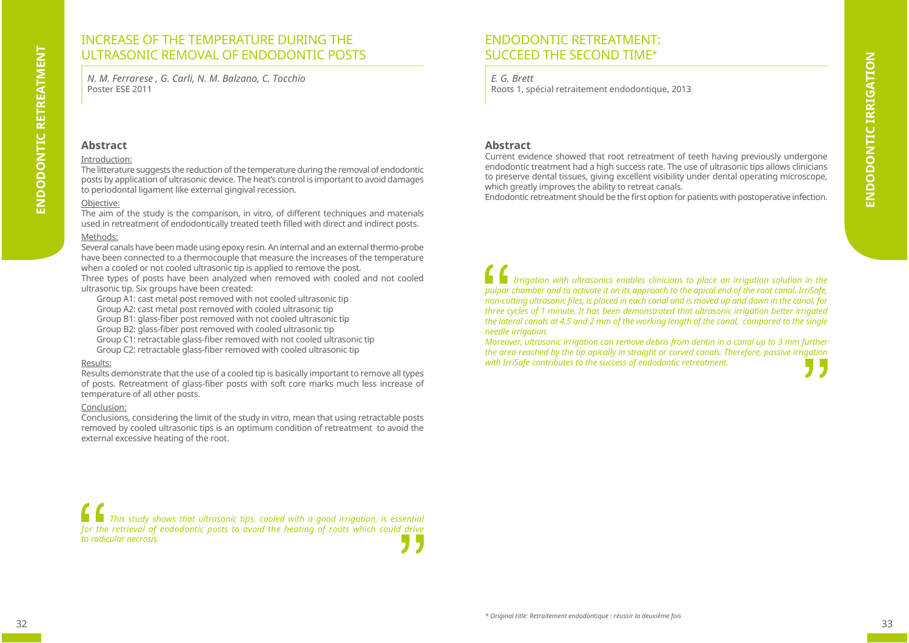# ENDODONTIC RETREATMENT **ENDODONTIC RETREATMENT**

# INCREASE OF THE TEMPERATURE DURING THE ULTRASONIC REMOVAL OF ENDODONTIC POSTS

*N. M. Ferrarese , G. Carli, N. M. Balzano, C. Tocchio*  Poster ESE 2011

#### **Abstract**

#### Introduction:

The litterature suggests the reduction of the temperature during the removal of endodontic posts by application of ultrasonic device. The heat's control is important to avoid damages to periodontal ligament like external gingival recession.

#### Objective:

The aim of the study is the comparison, in vitro, of different techniques and materials used in retreatment of endodontically treated teeth filled with direct and indirect posts.

#### Methods:

Several canals have been made using epoxy resin. An internal and an external thermo-probe have been connected to a thermocouple that measure the increases of the temperature when a cooled or not cooled ultrasonic tip is applied to remove the post.

Three types of posts have been analyzed when removed with cooled and not cooled ultrasonic tip. Six groups have been created:

Group A1: cast metal post removed with not cooled ultrasonic tip

Group A2: cast metal post removed with cooled ultrasonic tip

Group B1: glass-fiber post removed with not cooled ultrasonic tip

Group B2: glass-fiber post removed with cooled ultrasonic tip

Group C1: retractable glass-fiber removed with not cooled ultrasonic tip

Group C2: retractable glass-fiber removed with cooled ultrasonic tip

#### Results:

Results demonstrate that the use of a cooled tip is basically important to remove all types of posts. Retreatment of glass-fiber posts with soft core marks much less increase of temperature of all other posts.

#### Conclusion:

Conclusions, considering the limit of the study in vitro, mean that using retractable posts removed by cooled ultrasonic tips is an optimum condition of retreatment to avoid the external excessive heating of the root.

# ENDODONTIC RETREATMENT:SUCCEED THE SECOND TIME\*

#### *E. G. Brett*

Roots 1, spécial retraitement endodontique, 2013

#### **Abstract**

Current evidence showed that root retreatment of teeth having previously undergone endodontic treatment had a high success rate. The use of ultrasonic tips allows clinicians to preserve dental tissues, giving excellent visibility under dental operating microscope, which greatly improves the ability to retreat canals.

Endodontic retreatment should be the first option for patients with postoperative infection.

*Irrigation with ultrasonics enables clinicians to place an irrigation solution in the pulpar chamber and to activate it on its approach to the apical end of the root canal. IrriSafe, non-cutting ultrasonic files, is placed in each canal and is moved up and down in the canal, for three cycles of 1 minute. It has been demonstrated that ultrasonic irrigation better irrigated the lateral canals at 4.5 and 2 mm of the working length of the canal, compared to the single needle irrigation.* 

*Moreover, ultrasonic irrigation can remove debris from dentin in a canal up to 3 mm further the area reached by the tip apically in straight or curved canals. Therefore, passive irrigation with IrriSafe contributes to the success of endodontic retreatment.*

*This study shows that ultrasonic tips, cooled with a good irrigation, is essential for the retrieval of endodontic posts to avoid the heating of roots which could drive to radicular necrosis.*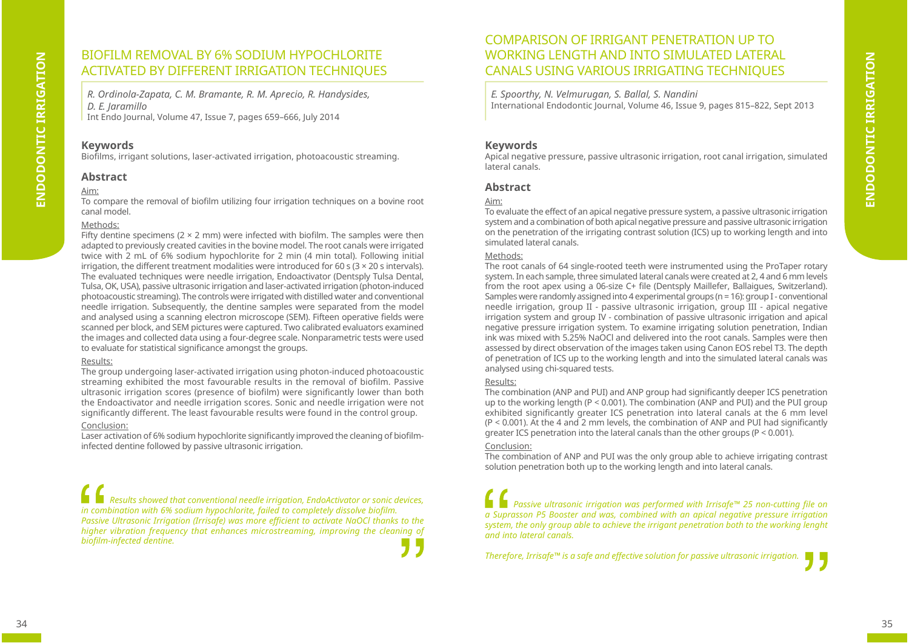# BIOFILM REMOVAL BY 6% SODIUM HYPOCHLORITE ACTIVATED BY DIFFERENT IRRIGATION TECHNIQUES

*R. Ordinola-Zapata, C. M. Bramante, R. M. Aprecio, R. Handysides, D. E. Jaramillo* Int Endo Journal, Volume 47, Issue 7, pages 659–666, July 2014

#### **Keywords**

Biofilms, irrigant solutions, laser-activated irrigation, photoacoustic streaming.

#### **Abstract**

#### Aim:

To compare the removal of biofilm utilizing four irrigation techniques on a bovine root canal model.

#### Methods:

Fifty dentine specimens ( $2 \times 2$  mm) were infected with biofilm. The samples were then adapted to previously created cavities in the bovine model. The root canals were irrigated twice with 2 mL of 6% sodium hypochlorite for 2 min (4 min total). Following initial irrigation, the different treatment modalities were introduced for 60 s ( $3 \times 20$  s intervals). The evaluated techniques were needle irrigation, Endoactivator (Dentsply Tulsa Dental, Tulsa, OK, USA), passive ultrasonic irrigation and laser-activated irrigation (photon-induced photoacoustic streaming). The controls were irrigated with distilled water and conventional needle irrigation. Subsequently, the dentine samples were separated from the model and analysed using a scanning electron microscope (SEM). Fifteen operative fields were scanned per block, and SEM pictures were captured. Two calibrated evaluators examined the images and collected data using a four-degree scale. Nonparametric tests were used to evaluate for statistical significance amongst the groups.

#### Results:

The group undergoing laser-activated irrigation using photon-induced photoacoustic streaming exhibited the most favourable results in the removal of biofilm. Passive ultrasonic irrigation scores (presence of biofilm) were significantly lower than both the Endoactivator and needle irrigation scores. Sonic and needle irrigation were not significantly different. The least favourable results were found in the control group.

#### Conclusion:

Laser activation of 6% sodium hypochlorite significantly improved the cleaning of biofilminfected dentine followed by passive ultrasonic irrigation.

*Results showed that conventional needle irrigation, EndoActivator or sonic devices,*  in combination with 6% sodium hypochlorite, failed to completely dissolye biofilm. *Passive Ultrasonic Irrigation (Irrisafe) was more efficient to activate NaOCl thanks to the higher vibration frequency that enhances microstreaming, improving the cleaning of biofi lm-infected dentine.*

# COMPARISON OF IRRIGANT PENETRATION UP TO WORKING LENGTH AND INTO SIMULATED LATERAL CANALS USING VARIOUS IRRIGATING TECHNIQUES

*E. Spoorthy, N. Velmurugan, S. Ballal, S. Nandini* International Endodontic Journal, Volume 46, Issue 9, pages 815–822, Sept 2013

#### **Keywords**

Apical negative pressure, passive ultrasonic irrigation, root canal irrigation, simulated lateral canals.

### **Abstract**

#### Aim:

To evaluate the effect of an apical negative pressure system, a passive ultrasonic irrigation system and a combination of both apical negative pressure and passive ultrasonic irrigation on the penetration of the irrigating contrast solution (ICS) up to working length and into simulated lateral canals.

#### Methods:

The root canals of 64 single-rooted teeth were instrumented using the ProTaper rotary system. In each sample, three simulated lateral canals were created at 2, 4 and 6 mm levels from the root apex using a 06-size C+ file (Dentsply Maillefer, Ballaigues, Switzerland). Samples were randomly assigned into 4 experimental groups (n = 16): group I - conventional needle irrigation, group II - passive ultrasonic irrigation, group III - apical negative irrigation system and group IV - combination of passive ultrasonic irrigation and apical negative pressure irrigation system. To examine irrigating solution penetration, Indian ink was mixed with 5.25% NaOCl and delivered into the root canals. Samples were then assessed by direct observation of the images taken using Canon EOS rebel T3. The depth of penetration of ICS up to the working length and into the simulated lateral canals was analysed using chi-squared tests.

#### Results:

The combination (ANP and PUI) and ANP group had significantly deeper ICS penetration up to the working length (P < 0.001). The combination (ANP and PUI) and the PUI group exhibited significantly greater ICS penetration into lateral canals at the 6 mm level  $(P < 0.001)$ . At the 4 and 2 mm levels, the combination of ANP and PUI had significantly greater ICS penetration into the lateral canals than the other groups (P < 0.001).

#### Conclusion:

The combination of ANP and PUI was the only group able to achieve irrigating contrast solution penetration both up to the working length and into lateral canals.

*Passive ultrasonic irrigation was performed with Irrisafe™ 25 non-cutting file on a Suprasson P5 Booster and was, combined with an apical negative pressure irrigation system, the only group able to achieve the irrigant penetration both to the working lenght and into lateral canals.*

*Therefore, Irrisafe™ is a safe and effective solution for passive ultrasonic irrigation.*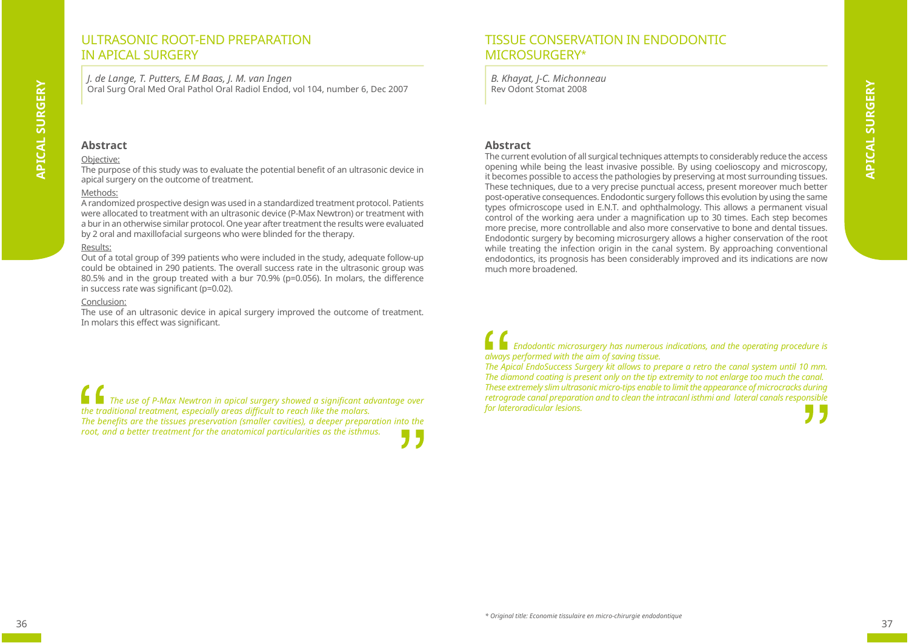## ULTRASONIC ROOT-FND PREPARATION IN APICAL SURGERY

*J. de Lange, T. Putters, E.M Baas, J. M. van Ingen* Oral Surg Oral Med Oral Pathol Oral Radiol Endod, vol 104, number 6, Dec 2007

#### **Abstract**

#### Objective:

**APICAL SURGERY**

**APICAL SURGERY** 

The purpose of this study was to evaluate the potential benefit of an ultrasonic device in apical surgery on the outcome of treatment.

#### Methods:

A randomized prospective design was used in a standardized treatment protocol. Patients were allocated to treatment with an ultrasonic device (P-Max Newtron) or treatment with a bur in an otherwise similar protocol. One year after treatment the results were evaluated by 2 oral and maxillofacial surgeons who were blinded for the therapy.

#### Results:

Out of a total group of 399 patients who were included in the study, adequate follow-up could be obtained in 290 patients. The overall success rate in the ultrasonic group was 80.5% and in the group treated with a bur 70.9% (p=0.056). In molars, the difference in success rate was significant ( $p=0.02$ ).

#### Conclusion:

The use of an ultrasonic device in apical surgery improved the outcome of treatment. In molars this effect was significant.

*The use of P-Max Newtron in apical surgery showed a significant advantage over the traditional treatment, especially areas diffi cult to reach like the molars.*  The benefits are the tissues preservation (smaller cavities), a deeper preparation into the *root, and a better treatment for the anatomical particularities as the isthmus.*

# TISSUE CONSERVATION IN ENDODONTIC MICROSURGERY\*

*B. Khayat, J-C. Michonneau* Rev Odont Stomat 2008

#### **Abstract**

The current evolution of all surgical techniques attempts to considerably reduce the access opening while being the least invasive possible. By using coelioscopy and microscopy, it becomes possible to access the pathologies by preserving at most surrounding tissues. These techniques, due to a very precise punctual access, present moreover much better post-operative consequences. Endodontic surgery follows this evolution by using the same types ofmicroscope used in E.N.T. and ophthalmology. This allows a permanent visual control of the working aera under a magnification up to 30 times. Each step becomes more precise, more controllable and also more conservative to bone and dental tissues. Endodontic surgery by becoming microsurgery allows a higher conservation of the root while treating the infection origin in the canal system. By approaching conventional endodontics, its prognosis has been considerably improved and its indications are now much more broadened.

*Endodontic microsurgery has numerous indications, and the operating procedure is always performed with the aim of saving tissue.* 

*The Apical EndoSuccess Surgery kit allows to prepare a retro the canal system until 10 mm. The diamond coating is present only on the tip extremity to not enlarge too much the canal. These extremely slim ultrasonic micro-tips enable to limit the appearance of microcracks during retrograde canal preparation and to clean the intracanl isthmi and lateral canals responsible for lateroradicular lesions.*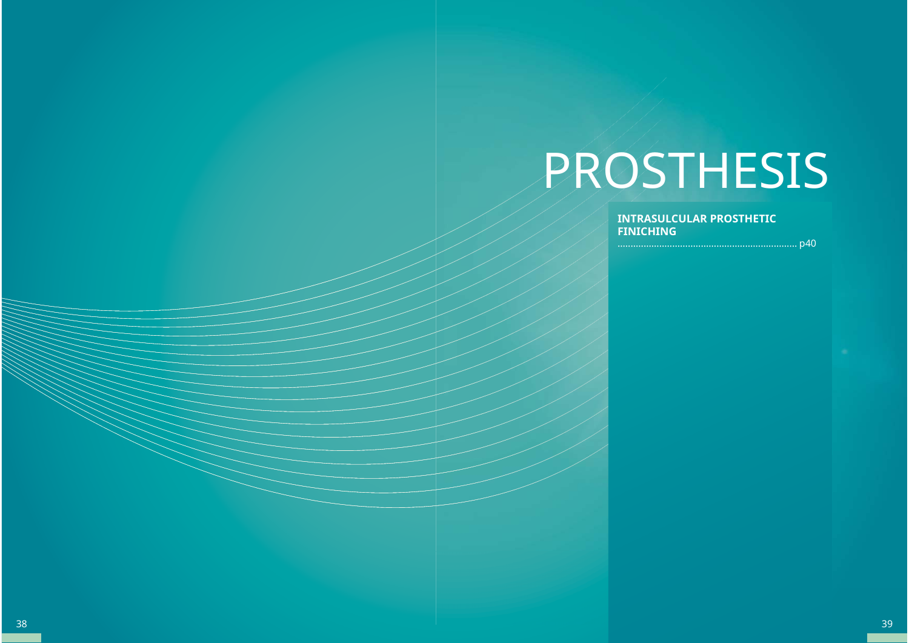# PROSTHESIS

**INTRASULCULAR PROSTHETIC FINICHING**

..................................................................... p40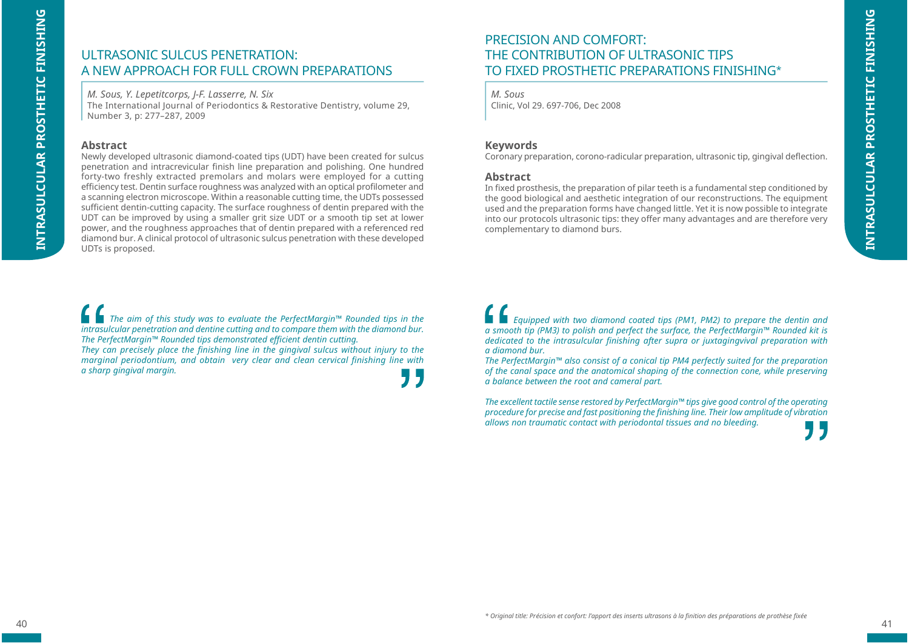# ULTRASONIC SULCUS PENETRATION: A NEW APPROACH FOR FULL CROWN PREPARATIONS

*M. Sous, Y. Lepetitcorps, J-F. Lasserre, N. Six* The International Journal of Periodontics & Restorative Dentistry, volume 29, Number 3, p: 277–287, 2009

#### **Abstract**

Newly developed ultrasonic diamond-coated tips (UDT) have been created for sulcus penetration and intracrevicular finish line preparation and polishing. One hundred forty-two freshly extracted premolars and molars were employed for a cutting efficiency test. Dentin surface roughness was analyzed with an optical profilometer and a scanning electron microscope. Within a reasonable cutting time, the UDTs possessed sufficient dentin-cutting capacity. The surface roughness of dentin prepared with the UDT can be improved by using a smaller grit size UDT or a smooth tip set at lower power, and the roughness approaches that of dentin prepared with a referenced red diamond bur. A clinical protocol of ultrasonic sulcus penetration with these developed UDTs is proposed.

*The aim of this study was to evaluate the PerfectMargin™ Rounded tips in the intrasulcular penetration and dentine cutting and to compare them with the diamond bur.* **The PerfectMargin™ Rounded tips demonstrated efficient dentin cutting.** 

*They can precisely place the finishing line in the gingival sulcus without injury to the marginal periodontium, and obtain very clear and clean cervical finishing line with a sharp gingival margin.*

PRECISION AND COMFORT:THE CONTRIBUTION OF ULTRASONIC TIPSTO FIXED PROSTHETIC PREPARATIONS FINISHING\*

*M. Sous*Clinic, Vol 29. 697-706, Dec 2008

#### **Keywords**

Coronary preparation, corono-radicular preparation, ultrasonic tip, gingival deflection.

#### **Abstract**

In fixed prosthesis, the preparation of pilar teeth is a fundamental step conditioned by the good biological and aesthetic integration of our reconstructions. The equipment used and the preparation forms have changed little. Yet it is now possible to integrate into our protocols ultrasonic tips: they offer many advantages and are therefore very complementary to diamond burs.

*Equipped with two diamond coated tips (PM1, PM2) to prepare the dentin and a smooth tip (PM3) to polish and perfect the surface, the PerfectMargin™ Rounded kit is dedicated to the intrasulcular finishing after supra or juxtagingvival preparation with a diamond bur.*

*The PerfectMargin™ also consist of a conical tip PM4 perfectly suited for the preparation of the canal space and the anatomical shaping of the connection cone, while preserving a balance between the root and cameral part.*

*The excellent tactile sense restored by PerfectMargin™ tips give good control of the operating procedure for precise and fast positioning the fi nishing line. Their low amplitude of vibration allows non traumatic contact with periodontal tissues and no bleeding.*